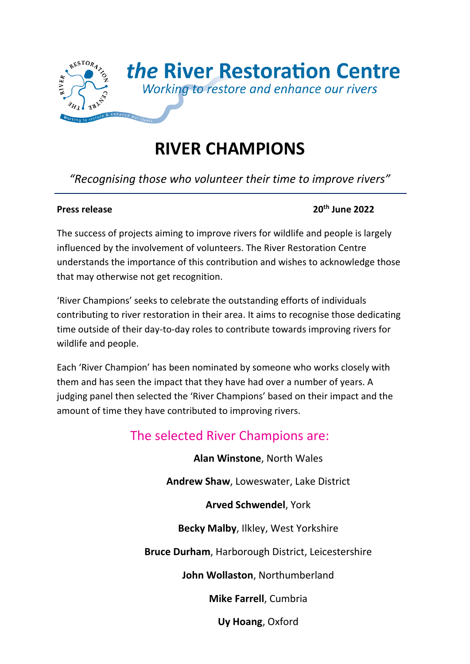

# **RIVER CHAMPIONS**

*"Recognising those who volunteer their time to improve rivers"*

#### **Press release**

#### **th June 2022**

The success of projects aiming to improve rivers for wildlife and people is largely influenced by the involvement of volunteers. The River Restoration Centre understands the importance of this contribution and wishes to acknowledge those that may otherwise not get recognition.

'River Champions' seeks to celebrate the outstanding efforts of individuals contributing to river restoration in their area. It aims to recognise those dedicating time outside of their day-to-day roles to contribute towards improving rivers for wildlife and people.

Each 'River Champion' has been nominated by someone who works closely with them and has seen the impact that they have had over a number of years. A judging panel then selected the 'River Champions' based on their impact and the amount of time they have contributed to improving rivers.

# The selected River Champions are:

**Alan Winstone**, North Wales

**Andrew Shaw**, Loweswater, Lake District

**Arved Schwendel**, York

**Becky Malby**, Ilkley, West Yorkshire

**Bruce Durham**, Harborough District, Leicestershire

**John Wollaston**, Northumberland

**Mike Farrell**, Cumbria

**Uy Hoang**, Oxford